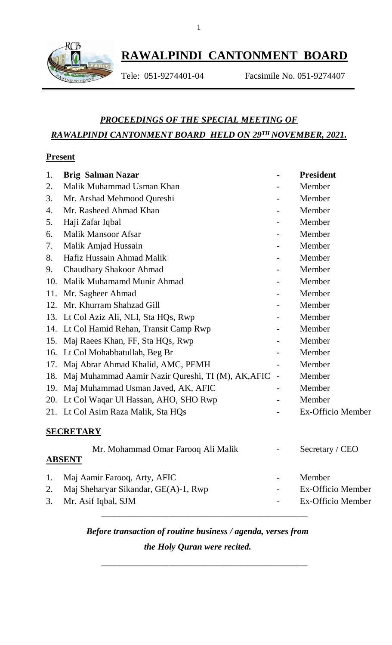

## **RAWALPINDI CANTONMENT BOARD**

Tele: 051-9274401-04 Facsimile No. 051-9274407

### *PROCEEDINGS OF THE SPECIAL MEETING OF RAWALPINDI CANTONMENT BOARD HELD ON 29TH NOVEMBER, 2021.*

#### **Present**

| 1.  | <b>Brig Salman Nazar</b>                           |                   | <b>President</b>  |
|-----|----------------------------------------------------|-------------------|-------------------|
| 2.  | Malik Muhammad Usman Khan                          |                   | Member            |
| 3.  | Mr. Arshad Mehmood Qureshi                         |                   | Member            |
| 4.  | Mr. Rasheed Ahmad Khan                             |                   | Member            |
| 5.  | Haji Zafar Iqbal                                   |                   | Member            |
| 6.  | <b>Malik Mansoor Afsar</b>                         |                   | Member            |
| 7.  | Malik Amjad Hussain                                |                   | Member            |
| 8.  | Hafiz Hussain Ahmad Malik                          |                   | Member            |
| 9.  | <b>Chaudhary Shakoor Ahmad</b>                     |                   | Member            |
| 10. | Malik Muhamamd Munir Ahmad                         |                   | Member            |
| 11. | Mr. Sagheer Ahmad                                  |                   | Member            |
| 12. | Mr. Khurram Shahzad Gill                           |                   | Member            |
| 13. | Lt Col Aziz Ali, NLI, Sta HQs, Rwp                 |                   | Member            |
| 14. | Lt Col Hamid Rehan, Transit Camp Rwp               |                   | Member            |
| 15. | Maj Raees Khan, FF, Sta HQs, Rwp                   |                   | Member            |
| 16. | Lt Col Mohabbatullah, Beg Br                       |                   | Member            |
| 17. | Maj Abrar Ahmad Khalid, AMC, PEMH                  |                   | Member            |
| 18. | Maj Muhammad Aamir Nazir Qureshi, TI (M), AK, AFIC |                   | Member            |
| 19. | Maj Muhammad Usman Javed, AK, AFIC                 | $\qquad \qquad -$ | Member            |
| 20. | Lt Col Waqar Ul Hassan, AHO, SHO Rwp               |                   | Member            |
|     | 21. Lt Col Asim Raza Malik, Sta HQs                |                   | Ex-Officio Member |
|     | <b>SECRETARY</b>                                   |                   |                   |
|     | Mr. Mohammad Omar Farooq Ali Malik                 |                   | Secretary / CEO   |
|     | <b>ABSENT</b>                                      |                   |                   |
| 1.  | Maj Aamir Farooq, Arty, AFIC                       |                   | Member            |
| 2.  | Maj Sheharyar Sikandar, GE(A)-1, Rwp               |                   | Ex-Officio Member |
| 3.  | Mr. Asif Iqbal, SJM                                |                   | Ex-Officio Member |
|     |                                                    |                   |                   |

# *Before transaction of routine business / agenda, verses from*

*the Holy Quran were recited.*

**\_\_\_\_\_\_\_\_\_\_\_\_\_\_\_\_\_\_\_\_\_\_\_\_\_\_\_\_\_\_\_\_\_\_\_\_\_\_\_\_\_\_\_\_\_\_**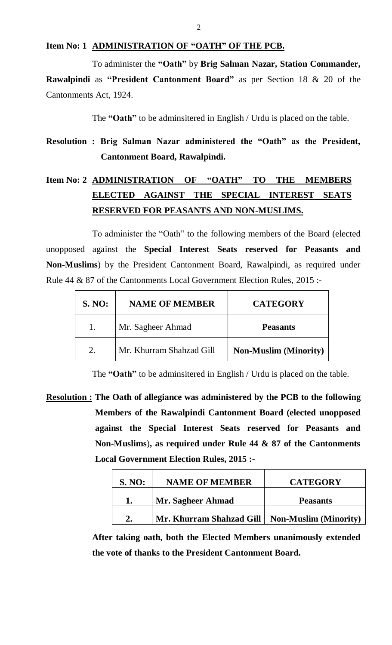#### **Item No: 1 ADMINISTRATION OF "OATH" OF THE PCB.**

To administer the **"Oath"** by **Brig Salman Nazar, Station Commander,** 

**Rawalpindi** as **"President Cantonment Board"** as per Section 18 & 20 of the Cantonments Act, 1924.

The **"Oath"** to be adminsitered in English / Urdu is placed on the table.

### **Resolution : Brig Salman Nazar administered the "Oath" as the President, Cantonment Board, Rawalpindi.**

### **Item No: 2 ADMINISTRATION OF "OATH" TO THE MEMBERS ELECTED AGAINST THE SPECIAL INTEREST SEATS RESERVED FOR PEASANTS AND NON-MUSLIMS.**

To administer the "Oath" to the following members of the Board (elected unopposed against the **Special Interest Seats reserved for Peasants and Non-Muslims**) by the President Cantonment Board, Rawalpindi, as required under Rule 44 & 87 of the Cantonments Local Government Election Rules, 2015 :-

| <b>S. NO:</b> | <b>NAME OF MEMBER</b>    | <b>CATEGORY</b>              |
|---------------|--------------------------|------------------------------|
|               | Mr. Sagheer Ahmad        | <b>Peasants</b>              |
|               | Mr. Khurram Shahzad Gill | <b>Non-Muslim (Minority)</b> |

The **"Oath"** to be adminsitered in English / Urdu is placed on the table.

**Resolution : The Oath of allegiance was administered by the PCB to the following Members of the Rawalpindi Cantonment Board (elected unopposed against the Special Interest Seats reserved for Peasants and Non-Muslims**)**, as required under Rule 44 & 87 of the Cantonments Local Government Election Rules, 2015 :-**

| <b>S. NO:</b> | <b>NAME OF MEMBER</b>    | <b>CATEGORY</b>              |
|---------------|--------------------------|------------------------------|
|               | Mr. Sagheer Ahmad        | <b>Peasants</b>              |
|               | Mr. Khurram Shahzad Gill | <b>Non-Muslim (Minority)</b> |

**After taking oath, both the Elected Members unanimously extended the vote of thanks to the President Cantonment Board.**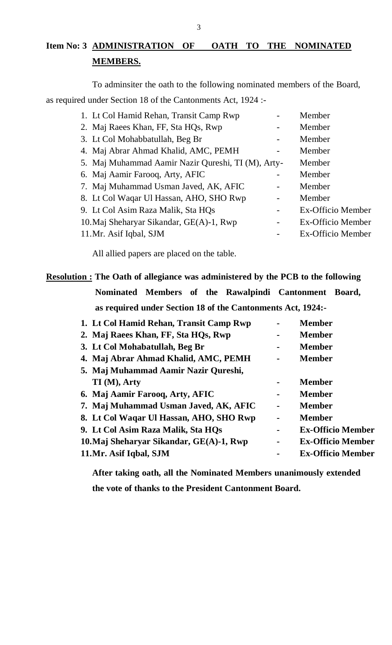#### **Item No: 3 ADMINISTRATION OF OATH TO THE NOMINATED MEMBERS.**

To adminsiter the oath to the following nominated members of the Board, as required under Section 18 of the Cantonments Act, 1924 :-

| 1. Lt Col Hamid Rehan, Transit Camp Rwp            | Member            |
|----------------------------------------------------|-------------------|
| 2. Maj Raees Khan, FF, Sta HQs, Rwp                | Member            |
| 3. Lt Col Mohabbatullah, Beg Br                    | Member            |
| 4. Maj Abrar Ahmad Khalid, AMC, PEMH               | Member            |
| 5. Maj Muhammad Aamir Nazir Qureshi, TI (M), Arty- | Member            |
| 6. Maj Aamir Farooq, Arty, AFIC                    | Member            |
| 7. Maj Muhammad Usman Javed, AK, AFIC              | Member            |
| 8. Lt Col Waqar Ul Hassan, AHO, SHO Rwp            | Member            |
| 9. Lt Col Asim Raza Malik, Sta HQs                 | Ex-Officio Member |
| 10. Maj Sheharyar Sikandar, GE(A)-1, Rwp           | Ex-Officio Member |
| 11. Mr. Asif Iqbal, SJM                            | Ex-Officio Member |

All allied papers are placed on the table.

### **Resolution : The Oath of allegiance was administered by the PCB to the following Nominated Members of the Rawalpindi Cantonment Board, as required under Section 18 of the Cantonments Act, 1924:-**

| 1. Lt Col Hamid Rehan, Transit Camp Rwp  |   | <b>Member</b>            |
|------------------------------------------|---|--------------------------|
| 2. Maj Raees Khan, FF, Sta HQs, Rwp      |   | <b>Member</b>            |
| 3. Lt Col Mohabatullah, Beg Br           | ۰ | <b>Member</b>            |
| 4. Maj Abrar Ahmad Khalid, AMC, PEMH     |   | <b>Member</b>            |
| 5. Maj Muhammad Aamir Nazir Qureshi,     |   |                          |
| TI (M), Arty                             |   | <b>Member</b>            |
| 6. Maj Aamir Farooq, Arty, AFIC          |   | <b>Member</b>            |
| 7. Maj Muhammad Usman Javed, AK, AFIC    | ۰ | <b>Member</b>            |
| 8. Lt Col Waqar Ul Hassan, AHO, SHO Rwp  |   | <b>Member</b>            |
| 9. Lt Col Asim Raza Malik, Sta HQs       |   | <b>Ex-Officio Member</b> |
| 10. Maj Sheharyar Sikandar, GE(A)-1, Rwp | ۰ | <b>Ex-Officio Member</b> |
| 11. Mr. Asif Iqbal, SJM                  |   | <b>Ex-Officio Member</b> |

**After taking oath, all the Nominated Members unanimously extended the vote of thanks to the President Cantonment Board.**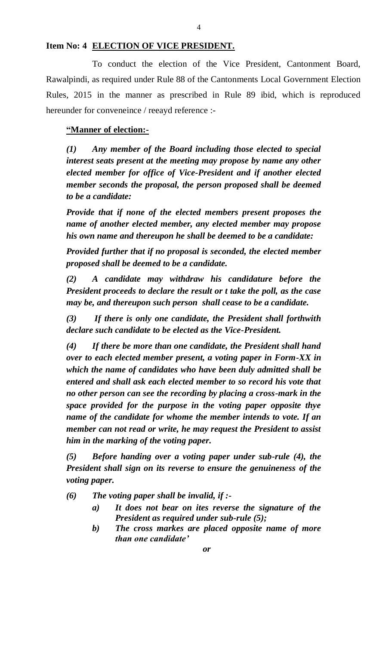#### **Item No: 4 ELECTION OF VICE PRESIDENT.**

To conduct the election of the Vice President, Cantonment Board, Rawalpindi, as required under Rule 88 of the Cantonments Local Government Election Rules, 2015 in the manner as prescribed in Rule 89 ibid, which is reproduced hereunder for conveneince / reeayd reference :-

#### **"Manner of election:-**

*(1) Any member of the Board including those elected to special interest seats present at the meeting may propose by name any other elected member for office of Vice-President and if another elected member seconds the proposal, the person proposed shall be deemed to be a candidate:*

*Provide that if none of the elected members present proposes the name of another elected member, any elected member may propose his own name and thereupon he shall be deemed to be a candidate:*

*Provided further that if no proposal is seconded, the elected member proposed shall be deemed to be a candidate.*

*(2) A candidate may withdraw his candidature before the President proceeds to declare the result or t take the poll, as the case may be, and thereupon such person shall cease to be a candidate.*

*(3) If there is only one candidate, the President shall forthwith declare such candidate to be elected as the Vice-President.*

*(4) If there be more than one candidate, the President shall hand over to each elected member present, a voting paper in Form-XX in which the name of candidates who have been duly admitted shall be entered and shall ask each elected member to so record his vote that no other person can see the recording by placing a cross-mark in the space provided for the purpose in the voting paper opposite thye name of the candidate for whome the member intends to vote. If an member can not read or write, he may request the President to assist him in the marking of the voting paper.*

*(5) Before handing over a voting paper under sub-rule (4), the President shall sign on its reverse to ensure the genuineness of the voting paper.*

*(6) The voting paper shall be invalid, if :-*

- *a) It does not bear on ites reverse the signature of the President as required under sub-rule (5);*
- *b) The cross markes are placed opposite name of more than one candidate'*